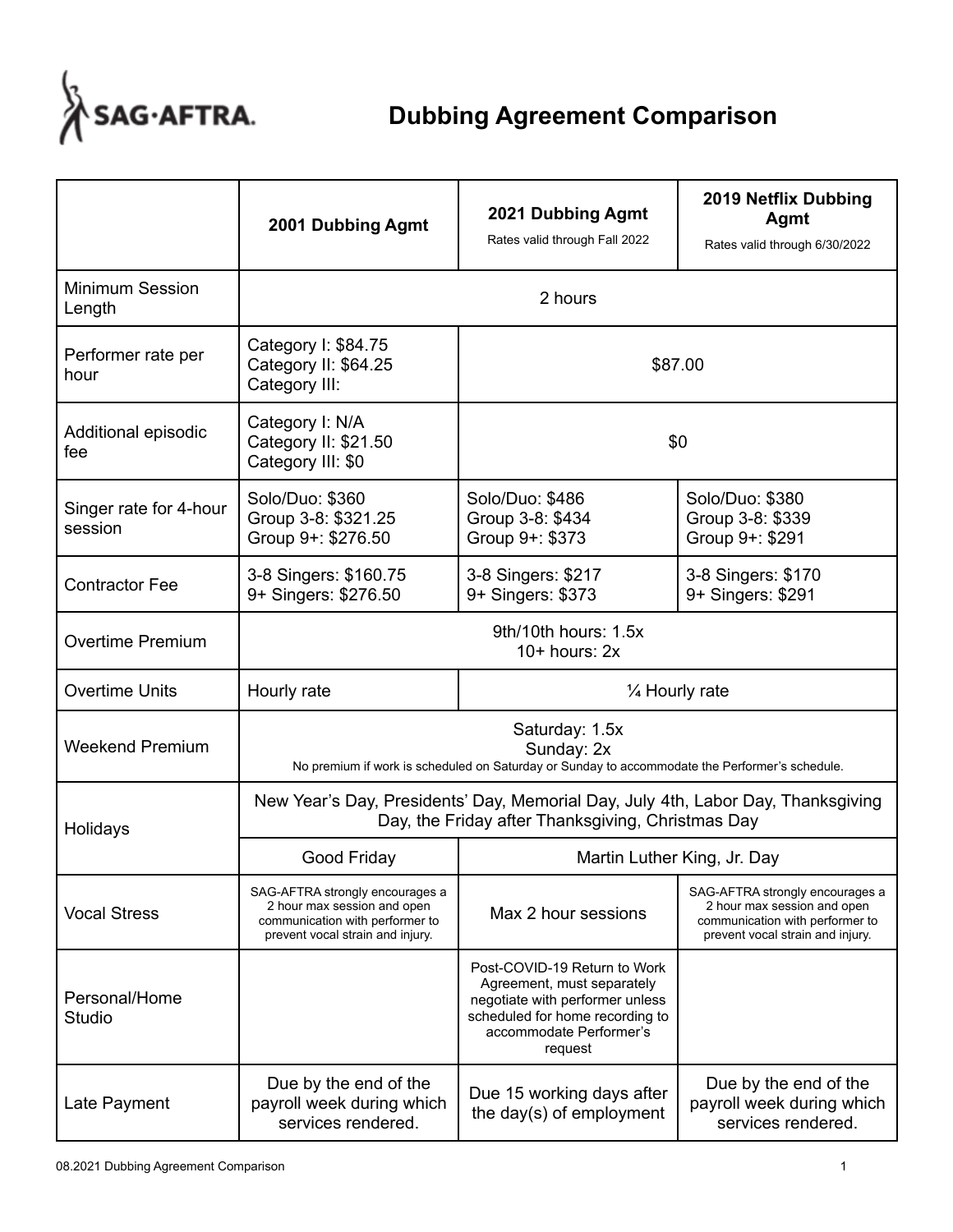

|                                   | 2001 Dubbing Agmt                                                                                                                     | 2021 Dubbing Agmt<br>Rates valid through Fall 2022                                                                                                                     | <b>2019 Netflix Dubbing</b><br>Agmt<br>Rates valid through 6/30/2022                                                                  |  |
|-----------------------------------|---------------------------------------------------------------------------------------------------------------------------------------|------------------------------------------------------------------------------------------------------------------------------------------------------------------------|---------------------------------------------------------------------------------------------------------------------------------------|--|
| <b>Minimum Session</b><br>Length  | 2 hours                                                                                                                               |                                                                                                                                                                        |                                                                                                                                       |  |
| Performer rate per<br>hour        | Category I: \$84.75<br>Category II: \$64.25<br>Category III:                                                                          | \$87.00                                                                                                                                                                |                                                                                                                                       |  |
| Additional episodic<br>fee        | Category I: N/A<br>Category II: \$21.50<br>Category III: \$0                                                                          | \$0                                                                                                                                                                    |                                                                                                                                       |  |
| Singer rate for 4-hour<br>session | Solo/Duo: \$360<br>Group 3-8: \$321.25<br>Group 9+: \$276.50                                                                          | Solo/Duo: \$486<br>Group 3-8: \$434<br>Group 9+: \$373                                                                                                                 | Solo/Duo: \$380<br>Group 3-8: \$339<br>Group 9+: \$291                                                                                |  |
| <b>Contractor Fee</b>             | 3-8 Singers: \$160.75<br>9+ Singers: \$276.50                                                                                         | 3-8 Singers: \$217<br>9+ Singers: \$373                                                                                                                                | 3-8 Singers: \$170<br>9+ Singers: \$291                                                                                               |  |
| <b>Overtime Premium</b>           | 9th/10th hours: 1.5x<br>$10+$ hours: $2x$                                                                                             |                                                                                                                                                                        |                                                                                                                                       |  |
| <b>Overtime Units</b>             | Hourly rate                                                                                                                           | 1/4 Hourly rate                                                                                                                                                        |                                                                                                                                       |  |
| <b>Weekend Premium</b>            | Saturday: 1.5x<br>Sunday: 2x<br>No premium if work is scheduled on Saturday or Sunday to accommodate the Performer's schedule.        |                                                                                                                                                                        |                                                                                                                                       |  |
| Holidays                          | New Year's Day, Presidents' Day, Memorial Day, July 4th, Labor Day, Thanksgiving<br>Day, the Friday after Thanksgiving, Christmas Day |                                                                                                                                                                        |                                                                                                                                       |  |
|                                   | Good Friday                                                                                                                           | Martin Luther King, Jr. Day                                                                                                                                            |                                                                                                                                       |  |
| <b>Vocal Stress</b>               | SAG-AFTRA strongly encourages a<br>2 hour max session and open<br>communication with performer to<br>prevent vocal strain and injury. | Max 2 hour sessions                                                                                                                                                    | SAG-AFTRA strongly encourages a<br>2 hour max session and open<br>communication with performer to<br>prevent vocal strain and injury. |  |
| Personal/Home<br><b>Studio</b>    |                                                                                                                                       | Post-COVID-19 Return to Work<br>Agreement, must separately<br>negotiate with performer unless<br>scheduled for home recording to<br>accommodate Performer's<br>request |                                                                                                                                       |  |
| Late Payment                      | Due by the end of the<br>payroll week during which<br>services rendered.                                                              | Due 15 working days after<br>the day(s) of employment                                                                                                                  | Due by the end of the<br>payroll week during which<br>services rendered.                                                              |  |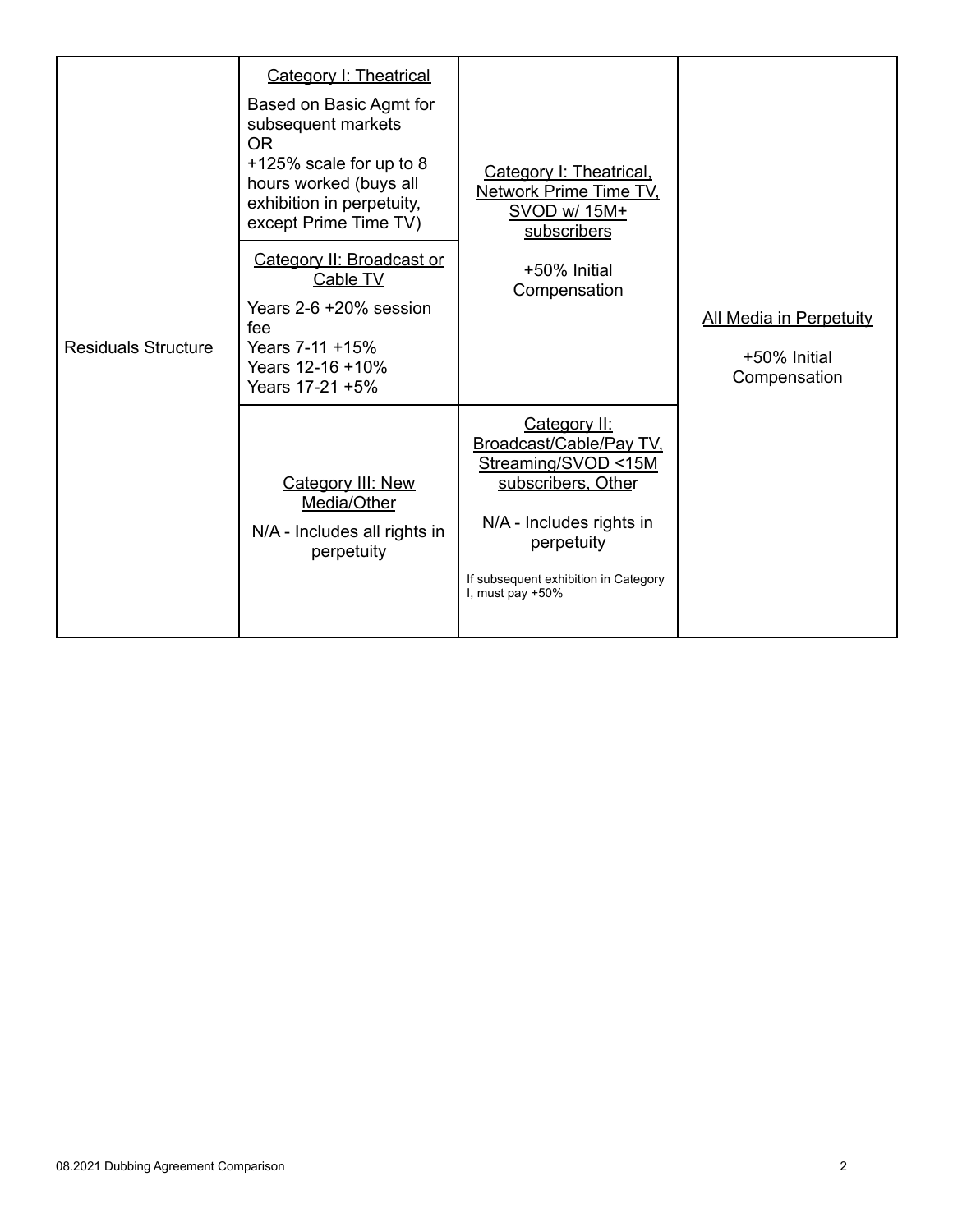| <b>Residuals Structure</b> | Category I: Theatrical<br>Based on Basic Agmt for<br>subsequent markets<br><b>OR</b><br>$+125\%$ scale for up to 8<br>hours worked (buys all<br>exhibition in perpetuity,<br>except Prime Time TV)<br>Category II: Broadcast or<br>Cable TV<br>Years 2-6 +20% session<br>fee<br>Years 7-11 +15%<br>Years 12-16 +10%<br>Years 17-21 +5% | Category I: Theatrical,<br>Network Prime Time TV,<br>SVOD w/ 15M+<br>subscribers<br>+50% Initial<br>Compensation                                                                              | <b>All Media in Perpetuity</b><br>+50% Initial<br>Compensation |
|----------------------------|----------------------------------------------------------------------------------------------------------------------------------------------------------------------------------------------------------------------------------------------------------------------------------------------------------------------------------------|-----------------------------------------------------------------------------------------------------------------------------------------------------------------------------------------------|----------------------------------------------------------------|
|                            | Category III: New<br>Media/Other<br>N/A - Includes all rights in<br>perpetuity                                                                                                                                                                                                                                                         | Category II:<br>Broadcast/Cable/Pay TV,<br>Streaming/SVOD <15M<br>subscribers, Other<br>N/A - Includes rights in<br>perpetuity<br>If subsequent exhibition in Category<br>I, must pay $+50\%$ |                                                                |